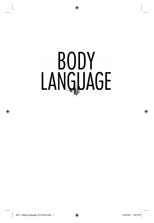# BODY LANGUAGE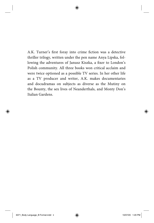A.K. Turner's first foray into crime fiction was a detective thriller trilogy, written under the pen name Anya Lipska, following the adventures of Janusz Kiszka, a fixer to London's Polish community. All three books won critical acclaim and were twice optioned as a possible TV series. In her other life as a TV producer and writer, A.K. makes documentaries and docudramas on subjects as diverse as the Mutiny on the Bounty, the sex lives of Neanderthals, and Monty Don's Italian Gardens.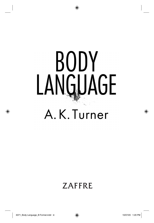# BODY LANGUAGE A.K.Turner

## **ZAFFRE**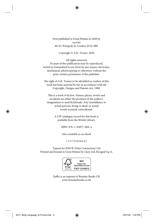First published in Great Britain in 2020 by zaffre 80–81 Wimpole St, London W1G 9RE

Copyright © A.K. Turner, 2020

All rights reserved. No part of this publication may be reproduced, stored or transmitted in any form by any means, electronic, mechanical, photocopying or otherwise, without the prior written permission of the publisher.

The right of A.K. Turner to be identified as Author of this work has been asserted by her in accordance with the Copyright, Designs and Patents Act, 1988.

This is a work of fiction. Names, places, events and incidents are either the products of the author's imagination or used fictitiously. Any resemblance to actual persons, living or dead, or actual events is purely coincidental.

> A CIP catalogue record for this book is available from the British Library.

> > ISBN: 978–1–83877–004–4

*Also available as an ebook*

1 3 5 7 9 10 8 6 4 2

Typeset by IDSUK (Data Connection) Ltd Printed and bound in Great Britain by Clays Ltd, Elcograf S.p.A.



Zaffre is an imprint of Bonnier Books UK www.bonnierbooks.co.uk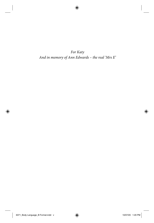*For Katy And in memory of Ann Edwards – the real 'Mrs E'*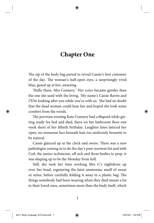#### **Chapter One**

The zip of the body bag parted to reveal Cassie's first customer of the day. The woman's half-open eyes, a surprisingly vivid blue, gazed up at her, unseeing.

'Hello there, Mrs Connery.' Her voice became gentler than the one she used with the living. 'My name's Cassie Raven and I'll be looking after you while you're with us.' She had no doubt that the dead woman could hear her and hoped she took some comfort from the words.

The previous evening Kate Connery had collapsed while getting ready for bed and died, there on her bathroom floor one week short of her fiftieth birthday. Laughter lines latticed her open, no-nonsense face beneath hair too uniformly brunette to be natural.

Cassie glanced up at the clock and swore. There was a new pathologist coming in to do the day's post-mortem list and with Carl, the junior technician, off sick and three bodies to prep, it was shaping up to be the Monday from hell.

Still, she took her time working Mrs C's nightdress up over her head, registering the faint ammoniac smell of sweat or urine, before carefully folding it away in a plastic bag. The things somebody had been wearing when they died meant a lot to their loved ones, sometimes more than the body itself, which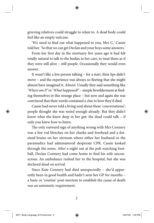grieving relatives could struggle to relate to. A dead body could feel like an empty suitcase.

'We need to find out what happened to you, Mrs C,' Cassie told her. 'So that we can get Declan and your boys some answers.'

From her first day in the mortuary five years ago it had felt totally natural to talk to the bodies in her care, to treat them as if they were still alive – still people. Occasionally they would even answer.

It wasn't like a live person talking – for a start, their lips didn't move – and the experience was always so fleeting that she might almost have imagined it. *Almost.* Usually they said something like '*Where am I?*' or '*What happened?*' – simple bewilderment at finding themselves in this strange place – but now and again she was convinced that their words contained a clue to how they'd died.

Cassie had never told a living soul about these 'conversations'; people thought she was weird enough already. But they didn't know what she knew deep in her gut: the dead could talk – if only you knew how to listen.

The only outward sign of anything wrong with Mrs Connery was a few red blotches on her cheeks and forehead and a fistsized bruise on her sternum where either her husband or the paramedics had administered desperate CPR. Cassie looked through the notes. After a night out at the pub watching football, Declan Connery had come home to find his wife unconscious. An ambulance rushed her to the hospital, but she was declared dead on arrival.

Since Kate Connery had died unexpectedly – she'd apparently been in good health and hadn't seen her GP for months – a basic or 'routine' post-mortem to establish the cause of death was an automatic requirement.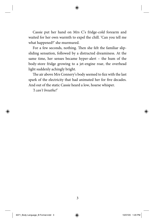Cassie put her hand on Mrs C's fridge-cold forearm and waited for her own warmth to expel the chill. 'Can you tell me what happened?' she murmured.

For a few seconds, nothing. Then she felt the familiar slipsliding sensation, followed by a distracted dreaminess. At the same time, her senses became hyper-alert – the hum of the body-store fridge growing to a jet-engine roar, the overhead light suddenly achingly bright.

The air above Mrs Connery's body seemed to fizz with the last spark of the electricity that had animated her for five decades. And out of the static Cassie heard a low, hoarse whisper.

*'I can't breathe!'*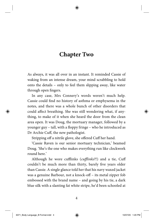#### **Chapter Two**

As always, it was all over in an instant. It reminded Cassie of waking from an intense dream, your mind scrabbling to hold onto the details – only to feel them slipping away, like water through open fingers.

In any case, Mrs Connery's words weren't much help. Cassie could find no history of asthma or emphysema in the notes, and there was a whole bunch of other disorders that could affect breathing. She was still wondering what, if anything, to make of it when she heard the door from the clean area open. It was Doug, the mortuary manager, followed by a younger guy – tall, with a floppy fringe – who he introduced as Dr Archie Cuff, the new pathologist.

Stripping off a nitrile glove, she offered Cuff her hand.

'Cassie Raven is our senior mortuary technician,' beamed Doug. 'She's the one who makes everything run like clockwork round here.'

Although he wore cufflinks (*cufflinks*?!) and a tie, Cuff couldn't be much more than thirty, barely five years older than Cassie. A single glance told her that his navy waxed jacket was a genuine Barbour, not a knock-off – its metal zipper fob embossed with the brand name – and going by his tie, a dark blue silk with a slanting fat white stripe, he'd been schooled at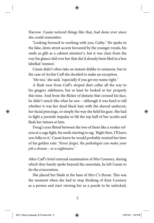Harrow. Cassie noticed things like that, had done ever since she could remember.

'Looking forward to working with you, Cathy.' He spoke in the fake, demi-street accent favoured by the younger royals, his smile as glib as a cabinet minister's, but it was clear from the way his glance slid over her that she'd already been filed in a box labelled 'minion'.

Cassie didn't often take an instant dislike to someone, but in the case of Archie Cuff she decided to make an exception.

'Me too,' she said, 'especially if you get my name right.'

A flush rose from Cuff's striped shirt collar all the way to his gingery sideburns, but at least he looked at her properly this time. And from the flicker of distaste that crossed his face, he didn't much like what he saw – although it was hard to tell whether it was her dyed black hair with the shaved undercut, her facial piercings, or simply the way she held his gaze. She had to fight a juvenile impulse to lift the top half of her scrubs and flash her tattoos at him.

Doug's eyes flitted between the two of them like a rookie referee at a cage fight, his smile starting to sag. 'Right then, I'll leave you folks to it.' Cassie knew he would probably remind her later of his golden rule: *'Never forget, the pathologist can make your job a dream – or a nightmare.'*

After Cuff's brief external examination of Mrs Connery, during which they barely spoke beyond the essentials, he left Cassie to do the evisceration.

She placed her blade at the base of Mrs C's throat. This was the moment when she had to stop thinking of Kate Connery as a person and start viewing her as a puzzle to be unlocked,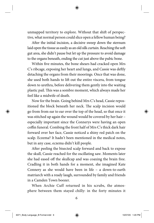unmapped territory to explore. Without that shift of perspective, what normal person could slice open a fellow human being?

After the initial incision, a decisive sweep down the sternum laid open the tissue as easily as an old silk curtain. Reaching the soft gut area, she didn't pause but let up the pressure to avoid damage to the organs beneath, ending the cut just above the pubic bone.

Within five minutes, the bone shears had cracked open Mrs C's ribcage, exposing her heart and lungs, and Cassie was deftly detaching the organs from their moorings. Once that was done, she used both hands to lift out the entire viscera, from tongue down to urethra, before delivering them gently into the waiting plastic pail. This was a sombre moment, which always made her feel like a midwife of death.

Now for the brain. Going behind Mrs C's head, Cassie repositioned the block beneath her neck. The scalp incision would go from from ear to ear over the top of the head, so that once it was stitched up again the wound would be covered by her hair – especially important since the Connerys were having an open coffin funeral. Combing the front half of Mrs C's thick dark hair forward over her face, Cassie noticed a shiny red patch on the scalp. Eczema? It hadn't been mentioned in the medical notes, but in any case, eczema didn't kill people.

After peeling the bisected scalp forward and back to expose the skull, Cassie reached for the oscillating saw. Moments later she had eased off the skullcap and was coaxing the brain free. Cradling it in both hands for a moment, she imagined Kate Connery as she would have been in life – a down-to-earth matriarch with a ready laugh, surrounded by family and friends in a Camden Town boozer.

When Archie Cuff returned in his scrubs, the atmosphere between them stayed chilly: in the forty minutes it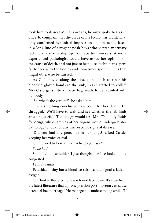took him to dissect Mrs C's organs, he only spoke to Cassie once, to complain that the blade of his PM40 was blunt. That only confirmed her initial impression of him as the latest in a long line of arrogant posh boys who viewed mortuary technicians as one step up from abattoir workers. A more experienced pathologist would have asked her opinion on the cause of death, and not just to be polite: technicians spent far longer with the bodies and sometimes spotted clues that might otherwise be missed.

As Cuff moved along the dissection bench to rinse his bloodied gloved hands in the sink, Cassie started to collect Mrs C's organs into a plastic bag, ready to be reunited with her body.

'So, what's the verdict?' she asked him.

'There's nothing conclusive to account for her death.' He shrugged. 'We'll have to wait and see whether the lab finds anything useful.' Toxicology would test Mrs C's bodily fluids for drugs, while samples of her organs would undergo histopathology to look for any microscopic signs of disease.

'Did you find any petechiae in her lungs?' asked Cassie, keeping her voice casual.

Cuff turned to look at her. 'Why do you ask?'

*So he had*.

She lifted one shoulder 'I just thought her face looked quite congested.'

*I can't breathe*.

Petechiae – tiny burst blood vessels – could signal a lack of oxygen.

Cuff looked flustered. 'She was found face down. It's clear from the latest literature that a prone position post-mortem can cause petechial haemorrhage.' He managed a condescending smile. 'If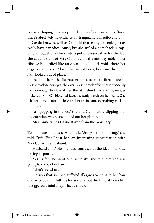you were hoping for a juicy murder, I'm afraid you're out of luck: there's absolutely no evidence of strangulation or suffocation.'

Cassie knew as well as Cuff did that asphyxia could just as easily have a medical cause, but she stifled a comeback. Dropping a nugget of kidney into a pot of preservative for the lab, she caught sight of Mrs C's body on the autopsy table – her ribcage butterflied like an open book, a dark void where her organs used to be. Above the ruined body, her shiny brunette hair looked out of place.

The light from the fluorescent tubes overhead flared, forcing Cassie to close her eyes, the ever-present reek of formalin suddenly harsh enough to claw at her throat. Behind her eyelids, images flickered: Mrs C's blotched face, the scaly patch on her scalp. She felt her throat start to close and in an instant, everything clicked into place.

'Just popping to the loo,' she told Cuff, before slipping into the corridor, where she pulled out her phone.

'Mr Connery? It's Cassie Raven from the mortuary.'

Ten minutes later she was back. 'Sorry I took so long,' she told Cuff. 'But I just had an interesting conversation with Mrs Connery's husband.'

'Husband . . . ?' He sounded confused at the idea of a body having a spouse.

'Yes. Before he went out last night, she told him she was going to colour her hair.'

'I don't see what  $\cdot$ 

'He says that she had suffered allergic reactions to her hair dye twice before. Nothing too serious. But this time, it looks like it triggered a fatal anaphylactic shock.'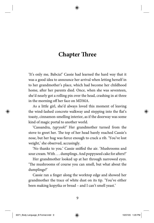### **Chapter Three**

'It's only me*,* Babcia!' Cassie had learned the hard way that it was a good idea to announce her arrival when letting herself in to her grandmother's place, which had become her childhood home, after her parents died. Once, when she was seventeen, she'd nearly got a rolling pin over the head, crashing in at three in the morning off her face on MDMA.

As a little girl, she'd always loved this moment of leaving the wind-lashed concrete walkway and stepping into the flat's toasty, cinnamon-smelling interior, as if the doorway was some kind of magic portal to another world.

'Cassandra, *tygrysek!'* Her grandmother turned from the stove to greet her. The top of her head barely reached Cassie's nose, but her hug was fierce enough to crack a rib. 'You've lost weight,' she observed, accusingly.

'No thanks to you.' Cassie sniffed the air. 'Mushrooms and sour cream. With . . . dumplings. And poppyseed cake for afters?'

Her grandmother looked up at her through narrowed eyes. 'The mushrooms of course you can smell, but what about the dumplings?'

Cassie ran a finger along the worktop edge and showed her grandmother the trace of white dust on its tip. 'You've either been making kopytka or bread – and I can't smell yeast.'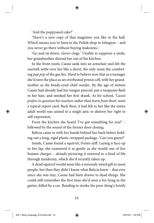'And the poppyseed cake?'

'There's a new copy of that magazine you like in the hall. Which means you've been to the Polish shop in Islington – and you never go there without buying makowiec.'

'Go and sit down, clever-clogs.' Unable to suppress a smile, her grandmother shooed her out of the kitchen.

In the front room, Cassie sank into an armchair and felt the warmth settle over her like a duvet, the only noise the comforting *pop pop* of the gas fire. Hard to believe now that as a teenager she'd seen the place as an overheated prison cell, with her grandmother as the beady-eyed chief warder. By the age of sixteen Cassie had already had her tongue pierced, put a turquoise flash in her hair, and smoked her first skunk. As for school, '*Cassie prefers to question her teachers rather than learn from them*' went a typical report card. Back then, it had felt to her like the entire adult world was united in a single aim: to destroy her right to self-expression.

From the kitchen she heard 'I've got something for you!' – followed by the sound of the freezer door closing.

Babcia came in with her hands behind her back before holding out a long, rigid plastic-wrapped package. 'Can you guess?'

Inside, Cassie found a squirrel, frozen stiff. Laying it face-up in her lap, she examined it as gently as she would one of her human charges – already picturing it restored to a kind of life through taxidermy, which she'd recently taken up.

A dead squirrel would seem like a seriously weird gift to most people, but then they didn't know what Babcia knew – that ever since she was tiny, Cassie had been drawn to dead things. She could still remember the first time she'd seen a fox lying in the gutter, killed by a car. Bending to stroke the poor thing's bristly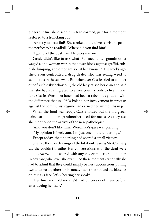gingernut fur, she'd seen him transformed, just for a moment, restored to a frolicking cub.

'Aren't you beautiful?' She stroked the squirrel's pristine pelt – too perfect to be roadkill. 'Where did you find him?'

'I got it off the dustman. He owes me one.'

Cassie didn't like to ask what *that* meant: her grandmother waged a one-woman war in the tower block against graffiti, rubbish dumping, and other antisocial behaviour. A few weeks ago, she'd even confronted a drug dealer who was selling weed to schoolkids in the stairwell. But whenever Cassie tried to talk her out of such risky behaviour, the old lady raised her chin and said that she hadn't emigrated to a free country only to live in fear. Like Cassie, Weronika Janek had been a rebellious youth – with the difference that in 1950s Poland her involvement in protests against the communist regime had earned her six months in jail.

When the food was ready, Cassie folded out the old green baize card table her grandmother used for meals. As they ate, she mentioned the arrival of the new pathologist.

'And you don't like him.' Weronika's gaze was piercing.

'My opinion is irrelevant. I'm just one of the underlings.'

Except today, the underling had scored a small victory.

She told the story, leaving out the bit about hearing Mrs Connery say she couldn't breathe. Her conversations with the dead were too . . . *sacred* to be shared with anyone, even her grandmother. In any case, whenever she examined these moments rationally she had to admit that they could simply be her subconscious putting two and two together: for instance, hadn't she noticed the blotches on Mrs C's face *before* hearing her speak?

'Her husband told me she'd had outbreaks of hives before, after dyeing her hair.'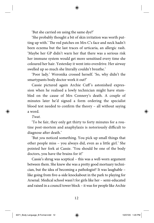'But she carried on using the same dye?'

'She probably thought a bit of skin irritation was worth putting up with.' The red patches on Mrs C's face and neck hadn't been eczema but the last traces of urticaria, an allergic rash. 'Maybe her GP didn't warn her that there was a serious risk her immune system would get more sensitised every time she coloured her hair. Yesterday it went into overdrive. Her airway swelled up so much she literally couldn't breathe.'

'Poor lady.' Weronika crossed herself. 'So, why didn't the smartypants body doctor work it out?'

Cassie pictured again Archie Cuff's astonished expression when he realised a lowly technician might have stumbled on the cause of Mrs Connery's death. A couple of minutes later he'd signed a form ordering the specialist blood test needed to confirm the theory  $-$  all without saying a word.

*Twat.*

'To be fair, they only get thirty to forty minutes for a routine post-mortem and anaphylaxis is notoriously difficult to diagnose after death.'

'But *you* noticed something. You pick up small things that other people miss – you always did, even as a little girl.' She pointed her fork at Cassie. 'You should be one of the body doctors, you have the brains for it!'

Cassie's shrug was sceptical – this was a well-worn argument between them. She knew she was a pretty good mortuary technician, but the idea of becoming a pathologist? It was laughable – like going from five-a-side knockabout in the park to playing for Arsenal. Medical school wasn't for girls like her – semi-educated and raised in a council tower block – it was for people like Archie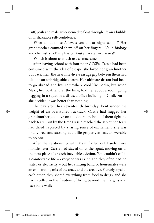Cuff; posh and male, who seemed to float through life on a bubble of unshakeable self-confidence.

'What about those A levels you got at night school?' Her grandmother counted them off on her fingers. 'A's in biology and chemistry, a B in physics. *And* an A star in classics!'

'Which is about as much use as macramé.'

After leaving school with four poor GCSEs, Cassie had been consumed with the idea of escape: she loved her grandmother but back then, the near fifty-five-year age gap between them had felt like an unbridgeable chasm. Her ultimate dream had been to go abroad and live somewhere cool like Berlin, but when Mazz, her boyfriend at the time, told her about a room going begging in a squat in a disused office building in Chalk Farm, she decided it was better than nothing.

The day after her seventeenth birthday, bent under the weight of an overstuffed rucksack, Cassie had hugged her grandmother goodbye on the doorstep, both of them fighting back tears. But by the time Cassie reached the street her tears had dried, replaced by a rising sense of excitement: she was finally free, and starting adult life properly at last, answerable to no one.

After the relationship with Mazz fizzled out barely three months later, Cassie had stayed on at the squat, moving on to the next place after each inevitable eviction. You couldn't call it a comfortable life – everyone was skint, and they often had no water or electricity – but her shifting band of housemates were an exhilarating mix of the crazy and the creative. Fiercely loyal to each other, they shared everything from food to drugs, and she had revelled in the freedom of living beyond the margins – at least for a while.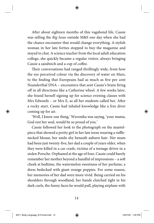After about eighteen months of this vagabond life, Cassie was selling the *Big Issue* outside M&S one day when she had the chance encounter that would change everything. A stylish woman in her late forties stopped to buy the magazine and stayed to chat. A science teacher from the local adult education college, she quickly became a regular visitor, always bringing Cassie a sandwich and a cup of coffee.

Their conversations had ranged thrillingly wide, from how the eye perceived colour via the discovery of water on Mars, to the finding that Europeans had as much as five per cent Neanderthal DNA - encounters that sent Cassie's brain firing off in all directions like a Catherine wheel. A few weeks later, she found herself signing up for science evening classes with Mrs Edwards – or Mrs E, as all her students called her. After a rocky start, Cassie had inhaled knowledge like a free diver coming up for air.

'Well, I know one thing,' Weronika was saying, 'your mama, God rest her soul, would be so proud of you.'

Cassie followed her look to the photograph on the mantelpiece that showed a pretty girl in her late teens wearing a rufflenecked blouse, her smile shy beneath auburn hair. Her mum had been just twenty-five, her dad a couple of years older, when they were killed in a car crash, victims of a teenage driver in a stolen Porsche. Orphaned at the age of four, Cassie could barely remember her mother beyond a handful of impressions – a soft cheek at bedtime, the watermelon sweetness of her perfume, a dress bedecked with giant orange poppies. For some reason, her memories of her dad were more vivid. Being carried on his shoulders through woodland, her hands clutched tight in his dark curls, the funny faces he would pull, playing airplane with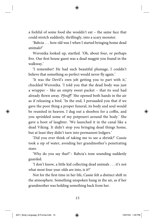a forkful of some food she wouldn't eat – the same face that could stretch suddenly, thrillingly, into a scary monster.

'Babcia . . . how old was I when I started bringing home dead animals?'

Weronika looked up, startled. 'Oh, about four, or perhaps five. Our first house guest was a dead magpie you found in the walkway.'

'I remember! He had such beautiful plumage, I couldn't believe that something so perfect would never fly again.'

'It was the Devil's own job getting you to part with it,' chuckled Weronika. 'I told you that the dead body was just a wrapper – like an empty sweet packet – that its soul had already flown away. *Pfouff*!' She opened both hands in the air as if releasing a bird. 'In the end, I persuaded you that if we gave the poor thing a proper funeral, its body and soul would be reunited in heaven. I dug out a shoebox for a coffin, and you sprinkled some of my potpourri around the body.' She gave a hoot of laughter. 'We launched it in the canal like a dead Viking. It didn't stop you bringing dead things home, but at least they didn't turn into permanent lodgers.'

'Did you ever think of taking me to see a shrink?' Cassie took a sip of water, avoiding her grandmother's penetrating stare.

'Why do you say that?'– Babcia's tone sounding suddenly guarded.

'I don't know, a little kid collecting dead animals . . . it's not what most four-year-olds are into, is it?'

Not for the first time in her life, Cassie felt a distinct shift in the atmosphere. Something unspoken hung in the air, as if her grandmother was holding something back from her.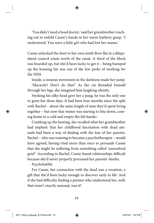'You didn't need a head doctor,' said her grandmother reaching out to enfold Cassie's hands in her warm leathery grasp. 'I understood. You were a little girl who had lost her mama.'

Cassie unlocked the door to her own ninth floor flat in a dilapidated council estate north of the canal. A third of the block was boarded up, but she'd been lucky to get it – being bumped up the housing list was one of the few perks of working for the NHS.

Inside, a sinuous movement in the darkness made her jump.

'Macavity! Don't do that!' As the cat threaded himself through her legs, she imagined him laughing silently.

Stroking his silky head gave her a pang: he was the only one to greet her these days. It had been four months since the split with Rachel – about the same length of time they'd spent living together – but now that winter was starting to bite down, coming home to a cold and empty flat felt harder.

Cranking up the heating, she recalled what her grandmother had implied: that her childhood fascination with dead animals had been a way of dealing with the loss of her parents. Rachel – who was training to become a psychotherapist – would have agreed, having tried more than once to persuade Cassie that she might be suffering from something called 'unresolved grief. According to Rachel, Cassie found relationships difficult because she'd never properly processed her parents' deaths.

#### *Psychobabble.*

For Cassie, her connection with the dead was a vocation, a gift that she'd been lucky enough to discover early in life. And if she had difficulty finding a partner who understood her, well, that wasn't exactly unusual, was it?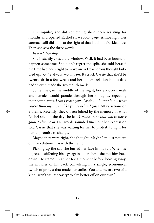On impulse, she did something she'd been resisting for months and opened Rachel's Facebook page. Annoyingly, her stomach still did a flip at the sight of that laughing freckled face. Then she saw the three words.

#### *In a relationship.*

She instantly closed the window. Well, it had been bound to happen sometime. She didn't regret the split, she told herself, the time had been right to move on. A treacherous thought bubbled up: *you're* always *moving on*. It struck Cassie that she'd be twenty-six in a few weeks and her longest relationship to date hadn't even made the six-month mark.

Sometimes, in the middle of the night, her ex-lovers, male and female, would parade through her thoughts, repeating their complaints. *I can't reach you, Cassie . . . I never know what you're thinking . . . It's like you're behind glass.* All variations on a theme. Recently, they'd been joined by the memory of what Rachel said on the day she left. I realise now that you're never *going to let me in.* Her words sounded final, but her expression told Cassie that she was waiting for her to protest, to fight for her, to promise to change.

Maybe they were right, she thought. Maybe I'm just not cut out for relationships with the living.

Picking up the cat, she buried her face in his fur. When he objected, stiffening his legs against her chest, she put him back down. He stared up at her for a moment before looking away, the muscles of his back convulsing in a single, economical twitch of protest that made her smile. 'You and me are two of a kind, aren't we, Macavity? We're better off on our own.'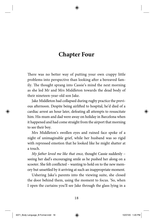### **Chapter Four**

There was no better way of putting your own crappy little problems into perspective than looking after a bereaved family. The thought sprang into Cassie's mind the next morning as she led Mr and Mrs Middleton towards the dead body of their nineteen-year-old son Jake.

Jake Middleton had collapsed during rugby practice the previous afternoon. Despite being airlifted to hospital, he'd died of a cardiac arrest an hour later, defeating all attempts to resuscitate him. His mum and dad were away on holiday in Barcelona when it happened and had come straight from the airport that morning to see their boy.

Mrs Middleton's swollen eyes and ruined face spoke of a night of unimaginable grief, while her husband was so rigid with repressed emotion that he looked like he might shatter at a touch.

*My father loved me like that once,* thought Cassie suddenly – seeing her dad's encouraging smile as he pushed her along on a scooter. She felt conflicted – wanting to hold on to the new memory but unsettled by it arriving at such an inappropriate moment.

Ushering Jake's parents into the viewing suite, she closed the door behind them, using the moment to focus. 'So, when I open the curtains you'll see Jake through the glass lying in a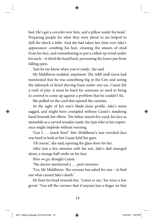bed. He's got a coverlet over him, and a pillow under his head.' Preparing people for what they were about to see helped to dull the shock a little. And she had taken her time over Jake's appearance: combing his hair, cleaning the smears of mud from his face, and remembering to put a rolled-up towel under his neck – it tilted the head back, preventing the lower jaw from falling open.

'Just let me know when you're ready,' she said.

Mr Middleton nodded, impatient. The A&E staff nurse had mentioned that he was something big in the City and seeing the tidemark of dried shaving foam under one ear, Cassie felt a rush of pity: it must be hard for someone so used to being in control to come up against a problem that he couldn't fix.

She pulled on the cord that opened the curtains.

At the sight of her son's blade-clean profile, Jake's mum sagged, and might have crumpled without Cassie's steadying hand beneath her elbow. The father stayed dry-eyed, his face as immobile as a carved wooden mask: the type who in her experience might implode without warning.

'Can I . . . touch him?' Mrs Middleton's tear-wrecked face was hard to look at but Cassie held her gaze.

'Of course,' she said, opening the glass door for her.

After just a few minutes with his son, Jake's dad emerged alone, a strange half-smile on his face.

*Here we go*, thought Cassie.

'The doctor mentioned a . . . post-mortem.'

'Yes, Mr Middleton. The coroner has asked for one – to find out what caused Jake's death.'

He bent his head towards her. 'Listen to me,' his voice a low growl. 'You tell the coroner that if anyone lays a finger on that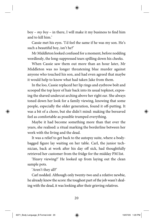boy –  $my$  boy – in there, I will make it my business to find him and to kill him.'

Cassie met his eyes. 'I'd feel the same if he was my son. He's such a beautiful boy, isn't he?'

Mr Middleton looked confused for a moment, before nodding wordlessly, the long-suppressed tears spilling down his cheeks.

When Cassie saw them out more than an hour later, Mr Middleton was no longer threatening blue murder against anyone who touched his son, and had even agreed that maybe it would help to know what had taken Jake from them.

In the loo, Cassie replaced her lip rings and eyebrow bolt and scooped the top layer of hair back into its usual topknot, exposing the shaved undercut arching above her right ear. She always toned down her look for a family viewing, knowing that some people, especially the older generation, found it off-putting. It was a bit of a chore, but she didn't mind: making the bereaved feel as comfortable as possible trumped everything.

Maybe it had become something more than that over the years, she realised: a ritual marking the borderline between her work with the living and the dead.

It was a relief to get back to the autopsy suite, where a bodybagged figure lay waiting on her table. Carl, the junior technician, back at work after his day off sick, had thoughtfully retrieved her customer from the fridge for the midday PM list.

'Heavy viewing?' He looked up from laying out the clean sample pots.

'Aren't they all?'

Carl nodded. Although only twenty-two and a relative newbie, he already knew the score: the toughest part of the job wasn't dealing with the dead, it was looking after their grieving relatives.